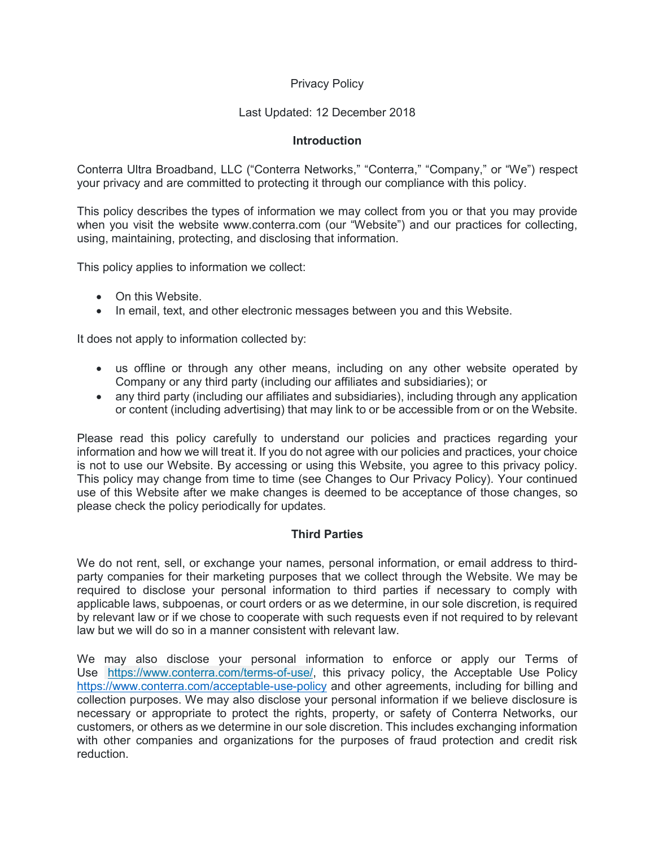# Privacy Policy

# Last Updated: 12 December 2018

### **Introduction**

Conterra Ultra Broadband, LLC ("Conterra Networks," "Conterra," "Company," or "We") respect your privacy and are committed to protecting it through our compliance with this policy.

This policy describes the types of information we may collect from you or that you may provide when you visit the website www.conterra.com (our "Website") and our practices for collecting, using, maintaining, protecting, and disclosing that information.

This policy applies to information we collect:

- On this Website.
- In email, text, and other electronic messages between you and this Website.

It does not apply to information collected by:

- us offline or through any other means, including on any other website operated by Company or any third party (including our affiliates and subsidiaries); or
- any third party (including our affiliates and subsidiaries), including through any application or content (including advertising) that may link to or be accessible from or on the Website.

Please read this policy carefully to understand our policies and practices regarding your information and how we will treat it. If you do not agree with our policies and practices, your choice is not to use our Website. By accessing or using this Website, you agree to this privacy policy. This policy may change from time to time (see Changes to Our Privacy Policy). Your continued use of this Website after we make changes is deemed to be acceptance of those changes, so please check the policy periodically for updates.

### **Third Parties**

We do not rent, sell, or exchange your names, personal information, or email address to thirdparty companies for their marketing purposes that we collect through the Website. We may be required to disclose your personal information to third parties if necessary to comply with applicable laws, subpoenas, or court orders or as we determine, in our sole discretion, is required by relevant law or if we chose to cooperate with such requests even if not required to by relevant law but we will do so in a manner consistent with relevant law.

We may also disclose your personal information to enforce or apply our Terms of Use [https://www.conterra.com/terms-of-use/,](https://www.conterra.com/terms-of-use/) this privacy policy, the Acceptable Use Policy <https://www.conterra.com/acceptable-use-policy> and other agreements, including for billing and collection purposes. We may also disclose your personal information if we believe disclosure is necessary or appropriate to protect the rights, property, or safety of Conterra Networks, our customers, or others as we determine in our sole discretion. This includes exchanging information with other companies and organizations for the purposes of fraud protection and credit risk reduction.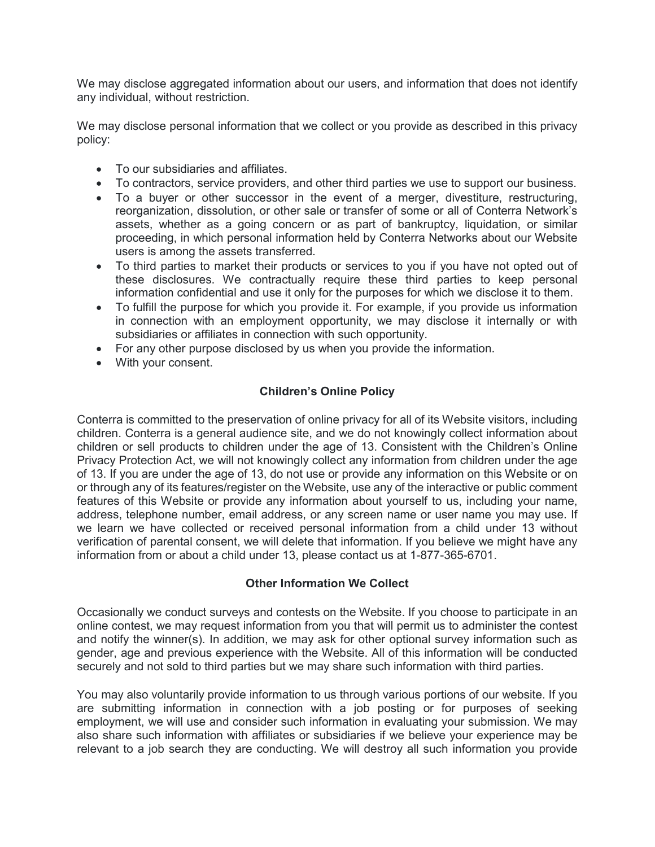We may disclose aggregated information about our users, and information that does not identify any individual, without restriction.

We may disclose personal information that we collect or you provide as described in this privacy policy:

- To our subsidiaries and affiliates.
- To contractors, service providers, and other third parties we use to support our business.
- To a buver or other successor in the event of a merger, divestiture, restructuring, reorganization, dissolution, or other sale or transfer of some or all of Conterra Network's assets, whether as a going concern or as part of bankruptcy, liquidation, or similar proceeding, in which personal information held by Conterra Networks about our Website users is among the assets transferred.
- To third parties to market their products or services to you if you have not opted out of these disclosures. We contractually require these third parties to keep personal information confidential and use it only for the purposes for which we disclose it to them.
- To fulfill the purpose for which you provide it. For example, if you provide us information in connection with an employment opportunity, we may disclose it internally or with subsidiaries or affiliates in connection with such opportunity.
- For any other purpose disclosed by us when you provide the information.
- With your consent.

# **Children's Online Policy**

Conterra is committed to the preservation of online privacy for all of its Website visitors, including children. Conterra is a general audience site, and we do not knowingly collect information about children or sell products to children under the age of 13. Consistent with the Children's Online Privacy Protection Act, we will not knowingly collect any information from children under the age of 13. If you are under the age of 13, do not use or provide any information on this Website or on or through any of its features/register on the Website, use any of the interactive or public comment features of this Website or provide any information about yourself to us, including your name, address, telephone number, email address, or any screen name or user name you may use. If we learn we have collected or received personal information from a child under 13 without verification of parental consent, we will delete that information. If you believe we might have any information from or about a child under 13, please contact us at 1-877-365-6701.

### **Other Information We Collect**

Occasionally we conduct surveys and contests on the Website. If you choose to participate in an online contest, we may request information from you that will permit us to administer the contest and notify the winner(s). In addition, we may ask for other optional survey information such as gender, age and previous experience with the Website. All of this information will be conducted securely and not sold to third parties but we may share such information with third parties.

You may also voluntarily provide information to us through various portions of our website. If you are submitting information in connection with a job posting or for purposes of seeking employment, we will use and consider such information in evaluating your submission. We may also share such information with affiliates or subsidiaries if we believe your experience may be relevant to a job search they are conducting. We will destroy all such information you provide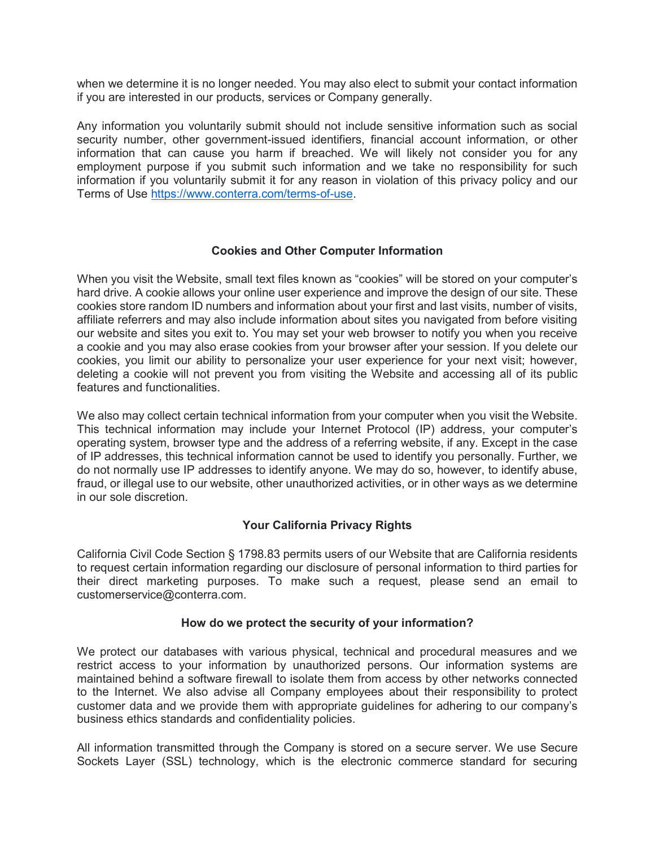when we determine it is no longer needed. You may also elect to submit your contact information if you are interested in our products, services or Company generally.

Any information you voluntarily submit should not include sensitive information such as social security number, other government-issued identifiers, financial account information, or other information that can cause you harm if breached. We will likely not consider you for any employment purpose if you submit such information and we take no responsibility for such information if you voluntarily submit it for any reason in violation of this privacy policy and our Terms of Use [https://www.conterra.com/terms-of-use.](https://www.conterra.com/terms-of-use)

### **Cookies and Other Computer Information**

When you visit the Website, small text files known as "cookies" will be stored on your computer's hard drive. A cookie allows your online user experience and improve the design of our site. These cookies store random ID numbers and information about your first and last visits, number of visits, affiliate referrers and may also include information about sites you navigated from before visiting our website and sites you exit to. You may set your web browser to notify you when you receive a cookie and you may also erase cookies from your browser after your session. If you delete our cookies, you limit our ability to personalize your user experience for your next visit; however, deleting a cookie will not prevent you from visiting the Website and accessing all of its public features and functionalities.

We also may collect certain technical information from your computer when you visit the Website. This technical information may include your Internet Protocol (IP) address, your computer's operating system, browser type and the address of a referring website, if any. Except in the case of IP addresses, this technical information cannot be used to identify you personally. Further, we do not normally use IP addresses to identify anyone. We may do so, however, to identify abuse, fraud, or illegal use to our website, other unauthorized activities, or in other ways as we determine in our sole discretion.

### **Your California Privacy Rights**

California Civil Code Section § 1798.83 permits users of our Website that are California residents to request certain information regarding our disclosure of personal information to third parties for their direct marketing purposes. To make such a request, please send an email to customerservice@conterra.com.

#### **How do we protect the security of your information?**

We protect our databases with various physical, technical and procedural measures and we restrict access to your information by unauthorized persons. Our information systems are maintained behind a software firewall to isolate them from access by other networks connected to the Internet. We also advise all Company employees about their responsibility to protect customer data and we provide them with appropriate guidelines for adhering to our company's business ethics standards and confidentiality policies.

All information transmitted through the Company is stored on a secure server. We use Secure Sockets Layer (SSL) technology, which is the electronic commerce standard for securing